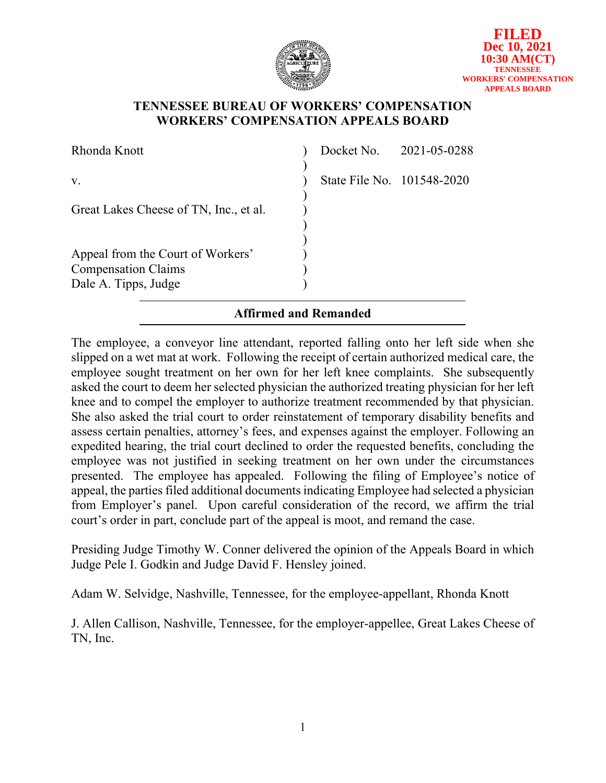

### **TENNESSEE BUREAU OF WORKERS' COMPENSATION WORKERS' COMPENSATION APPEALS BOARD**

| Rhonda Knott                                                    |                            | Docket No. 2021-05-0288 |
|-----------------------------------------------------------------|----------------------------|-------------------------|
| V.                                                              | State File No. 101548-2020 |                         |
| Great Lakes Cheese of TN, Inc., et al.                          |                            |                         |
| Appeal from the Court of Workers'<br><b>Compensation Claims</b> |                            |                         |
| Dale A. Tipps, Judge                                            |                            |                         |

# **Affirmed and Remanded**

The employee, a conveyor line attendant, reported falling onto her left side when she slipped on a wet mat at work. Following the receipt of certain authorized medical care, the employee sought treatment on her own for her left knee complaints. She subsequently asked the court to deem her selected physician the authorized treating physician for her left knee and to compel the employer to authorize treatment recommended by that physician. She also asked the trial court to order reinstatement of temporary disability benefits and assess certain penalties, attorney's fees, and expenses against the employer. Following an expedited hearing, the trial court declined to order the requested benefits, concluding the employee was not justified in seeking treatment on her own under the circumstances presented. The employee has appealed. Following the filing of Employee's notice of appeal, the parties filed additional documents indicating Employee had selected a physician from Employer's panel. Upon careful consideration of the record, we affirm the trial court's order in part, conclude part of the appeal is moot, and remand the case.

Presiding Judge Timothy W. Conner delivered the opinion of the Appeals Board in which Judge Pele I. Godkin and Judge David F. Hensley joined.

Adam W. Selvidge, Nashville, Tennessee, for the employee-appellant, Rhonda Knott

J. Allen Callison, Nashville, Tennessee, for the employer-appellee, Great Lakes Cheese of TN, Inc.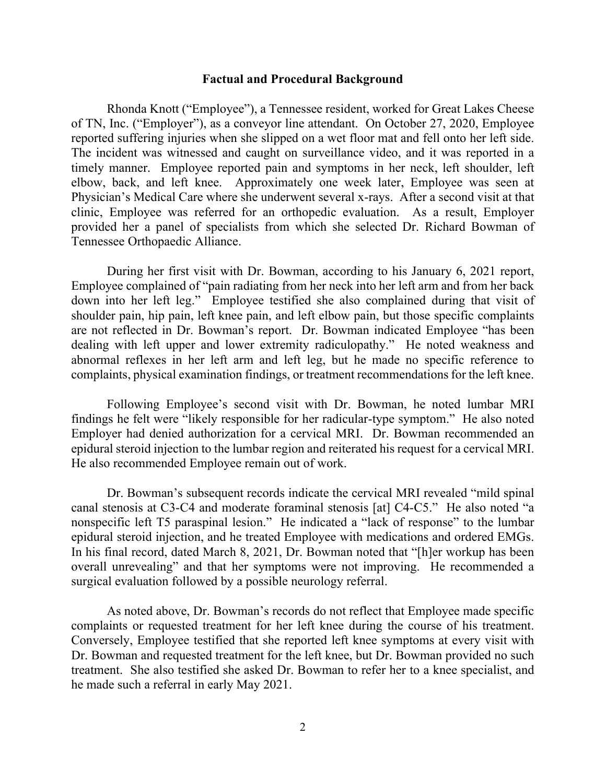#### **Factual and Procedural Background**

Rhonda Knott ("Employee"), a Tennessee resident, worked for Great Lakes Cheese of TN, Inc. ("Employer"), as a conveyor line attendant. On October 27, 2020, Employee reported suffering injuries when she slipped on a wet floor mat and fell onto her left side. The incident was witnessed and caught on surveillance video, and it was reported in a timely manner. Employee reported pain and symptoms in her neck, left shoulder, left elbow, back, and left knee. Approximately one week later, Employee was seen at Physician's Medical Care where she underwent several x-rays. After a second visit at that clinic, Employee was referred for an orthopedic evaluation. As a result, Employer provided her a panel of specialists from which she selected Dr. Richard Bowman of Tennessee Orthopaedic Alliance.

During her first visit with Dr. Bowman, according to his January 6, 2021 report, Employee complained of "pain radiating from her neck into her left arm and from her back down into her left leg." Employee testified she also complained during that visit of shoulder pain, hip pain, left knee pain, and left elbow pain, but those specific complaints are not reflected in Dr. Bowman's report. Dr. Bowman indicated Employee "has been dealing with left upper and lower extremity radiculopathy." He noted weakness and abnormal reflexes in her left arm and left leg, but he made no specific reference to complaints, physical examination findings, or treatment recommendations for the left knee.

Following Employee's second visit with Dr. Bowman, he noted lumbar MRI findings he felt were "likely responsible for her radicular-type symptom." He also noted Employer had denied authorization for a cervical MRI. Dr. Bowman recommended an epidural steroid injection to the lumbar region and reiterated his request for a cervical MRI. He also recommended Employee remain out of work.

Dr. Bowman's subsequent records indicate the cervical MRI revealed "mild spinal canal stenosis at C3-C4 and moderate foraminal stenosis [at] C4-C5." He also noted "a nonspecific left T5 paraspinal lesion." He indicated a "lack of response" to the lumbar epidural steroid injection, and he treated Employee with medications and ordered EMGs. In his final record, dated March 8, 2021, Dr. Bowman noted that "[h]er workup has been overall unrevealing" and that her symptoms were not improving. He recommended a surgical evaluation followed by a possible neurology referral.

As noted above, Dr. Bowman's records do not reflect that Employee made specific complaints or requested treatment for her left knee during the course of his treatment. Conversely, Employee testified that she reported left knee symptoms at every visit with Dr. Bowman and requested treatment for the left knee, but Dr. Bowman provided no such treatment. She also testified she asked Dr. Bowman to refer her to a knee specialist, and he made such a referral in early May 2021.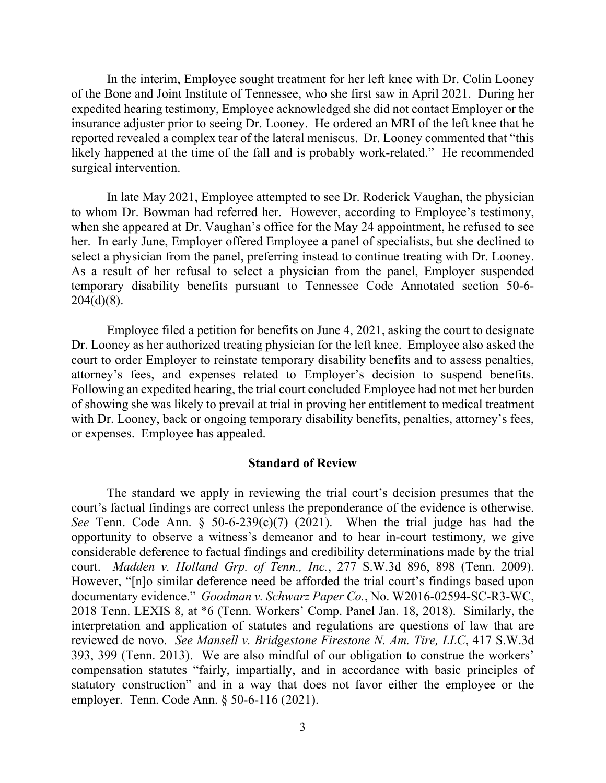In the interim, Employee sought treatment for her left knee with Dr. Colin Looney of the Bone and Joint Institute of Tennessee, who she first saw in April 2021. During her expedited hearing testimony, Employee acknowledged she did not contact Employer or the insurance adjuster prior to seeing Dr. Looney. He ordered an MRI of the left knee that he reported revealed a complex tear of the lateral meniscus. Dr. Looney commented that "this likely happened at the time of the fall and is probably work-related." He recommended surgical intervention.

In late May 2021, Employee attempted to see Dr. Roderick Vaughan, the physician to whom Dr. Bowman had referred her. However, according to Employee's testimony, when she appeared at Dr. Vaughan's office for the May 24 appointment, he refused to see her. In early June, Employer offered Employee a panel of specialists, but she declined to select a physician from the panel, preferring instead to continue treating with Dr. Looney. As a result of her refusal to select a physician from the panel, Employer suspended temporary disability benefits pursuant to Tennessee Code Annotated section 50-6-  $204(d)(8)$ .

Employee filed a petition for benefits on June 4, 2021, asking the court to designate Dr. Looney as her authorized treating physician for the left knee. Employee also asked the court to order Employer to reinstate temporary disability benefits and to assess penalties, attorney's fees, and expenses related to Employer's decision to suspend benefits. Following an expedited hearing, the trial court concluded Employee had not met her burden of showing she was likely to prevail at trial in proving her entitlement to medical treatment with Dr. Looney, back or ongoing temporary disability benefits, penalties, attorney's fees, or expenses. Employee has appealed.

### **Standard of Review**

The standard we apply in reviewing the trial court's decision presumes that the court's factual findings are correct unless the preponderance of the evidence is otherwise. *See* Tenn. Code Ann. § 50-6-239(c)(7) (2021). When the trial judge has had the opportunity to observe a witness's demeanor and to hear in-court testimony, we give considerable deference to factual findings and credibility determinations made by the trial court. *Madden v. Holland Grp. of Tenn., Inc.*, 277 S.W.3d 896, 898 (Tenn. 2009). However, "[n]o similar deference need be afforded the trial court's findings based upon documentary evidence." *Goodman v. Schwarz Paper Co.*, No. W2016-02594-SC-R3-WC, 2018 Tenn. LEXIS 8, at \*6 (Tenn. Workers' Comp. Panel Jan. 18, 2018). Similarly, the interpretation and application of statutes and regulations are questions of law that are reviewed de novo. *See Mansell v. Bridgestone Firestone N. Am. Tire, LLC*, 417 S.W.3d 393, 399 (Tenn. 2013). We are also mindful of our obligation to construe the workers' compensation statutes "fairly, impartially, and in accordance with basic principles of statutory construction" and in a way that does not favor either the employee or the employer. Tenn. Code Ann. § 50-6-116 (2021).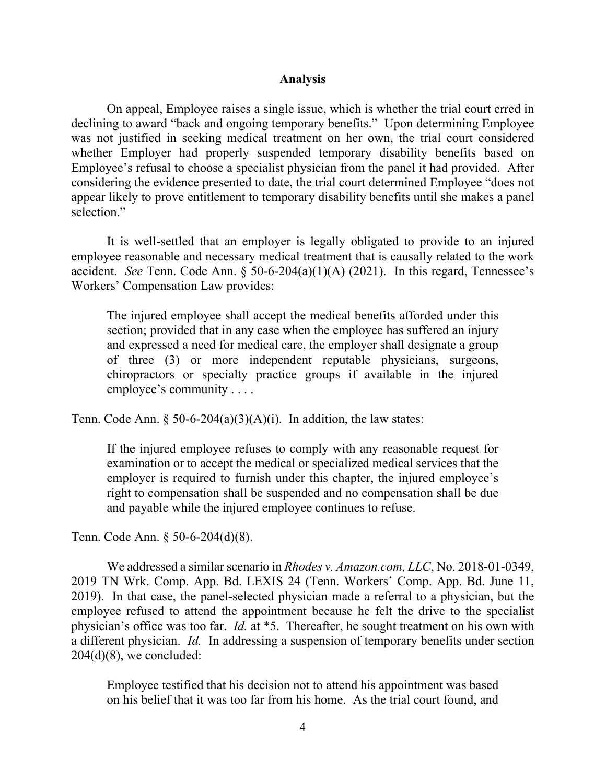#### **Analysis**

On appeal, Employee raises a single issue, which is whether the trial court erred in declining to award "back and ongoing temporary benefits." Upon determining Employee was not justified in seeking medical treatment on her own, the trial court considered whether Employer had properly suspended temporary disability benefits based on Employee's refusal to choose a specialist physician from the panel it had provided. After considering the evidence presented to date, the trial court determined Employee "does not appear likely to prove entitlement to temporary disability benefits until she makes a panel selection."

It is well-settled that an employer is legally obligated to provide to an injured employee reasonable and necessary medical treatment that is causally related to the work accident. *See* Tenn. Code Ann. § 50-6-204(a)(1)(A) (2021). In this regard, Tennessee's Workers' Compensation Law provides:

The injured employee shall accept the medical benefits afforded under this section; provided that in any case when the employee has suffered an injury and expressed a need for medical care, the employer shall designate a group of three (3) or more independent reputable physicians, surgeons, chiropractors or specialty practice groups if available in the injured employee's community . . . .

Tenn. Code Ann. § 50-6-204(a)(3)(A)(i). In addition, the law states:

If the injured employee refuses to comply with any reasonable request for examination or to accept the medical or specialized medical services that the employer is required to furnish under this chapter, the injured employee's right to compensation shall be suspended and no compensation shall be due and payable while the injured employee continues to refuse.

Tenn. Code Ann. § 50-6-204(d)(8).

We addressed a similar scenario in *Rhodes v. Amazon.com, LLC*, No. 2018-01-0349, 2019 TN Wrk. Comp. App. Bd. LEXIS 24 (Tenn. Workers' Comp. App. Bd. June 11, 2019). In that case, the panel-selected physician made a referral to a physician, but the employee refused to attend the appointment because he felt the drive to the specialist physician's office was too far. *Id.* at \*5. Thereafter, he sought treatment on his own with a different physician. *Id.* In addressing a suspension of temporary benefits under section  $204(d)(8)$ , we concluded:

Employee testified that his decision not to attend his appointment was based on his belief that it was too far from his home. As the trial court found, and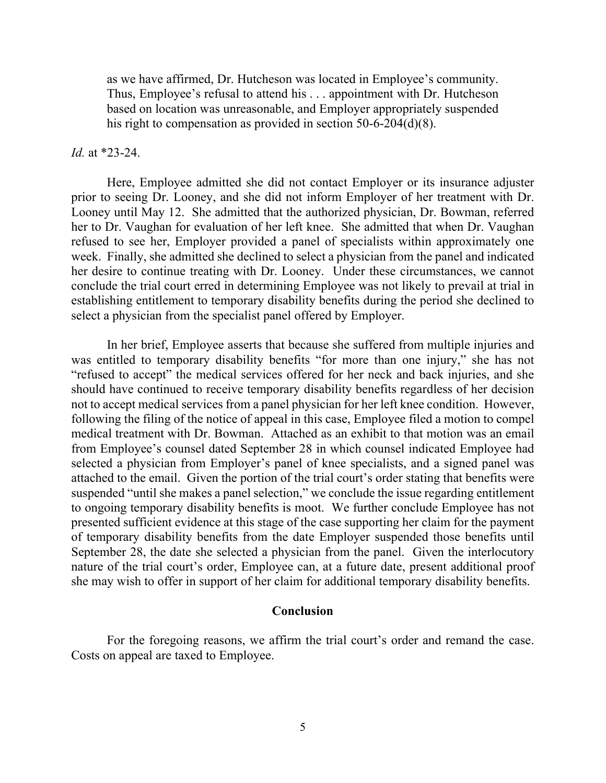as we have affirmed, Dr. Hutcheson was located in Employee's community. Thus, Employee's refusal to attend his . . . appointment with Dr. Hutcheson based on location was unreasonable, and Employer appropriately suspended his right to compensation as provided in section 50-6-204(d)(8).

### *Id.* at \*23-24.

Here, Employee admitted she did not contact Employer or its insurance adjuster prior to seeing Dr. Looney, and she did not inform Employer of her treatment with Dr. Looney until May 12. She admitted that the authorized physician, Dr. Bowman, referred her to Dr. Vaughan for evaluation of her left knee. She admitted that when Dr. Vaughan refused to see her, Employer provided a panel of specialists within approximately one week. Finally, she admitted she declined to select a physician from the panel and indicated her desire to continue treating with Dr. Looney. Under these circumstances, we cannot conclude the trial court erred in determining Employee was not likely to prevail at trial in establishing entitlement to temporary disability benefits during the period she declined to select a physician from the specialist panel offered by Employer.

In her brief, Employee asserts that because she suffered from multiple injuries and was entitled to temporary disability benefits "for more than one injury," she has not "refused to accept" the medical services offered for her neck and back injuries, and she should have continued to receive temporary disability benefits regardless of her decision not to accept medical services from a panel physician for her left knee condition. However, following the filing of the notice of appeal in this case, Employee filed a motion to compel medical treatment with Dr. Bowman. Attached as an exhibit to that motion was an email from Employee's counsel dated September 28 in which counsel indicated Employee had selected a physician from Employer's panel of knee specialists, and a signed panel was attached to the email. Given the portion of the trial court's order stating that benefits were suspended "until she makes a panel selection," we conclude the issue regarding entitlement to ongoing temporary disability benefits is moot. We further conclude Employee has not presented sufficient evidence at this stage of the case supporting her claim for the payment of temporary disability benefits from the date Employer suspended those benefits until September 28, the date she selected a physician from the panel. Given the interlocutory nature of the trial court's order, Employee can, at a future date, present additional proof she may wish to offer in support of her claim for additional temporary disability benefits.

### **Conclusion**

For the foregoing reasons, we affirm the trial court's order and remand the case. Costs on appeal are taxed to Employee.